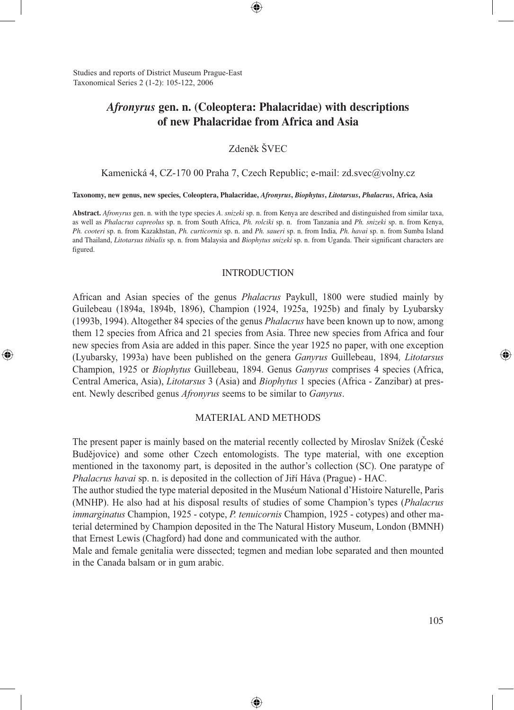Studies and reports of District Museum Prague-East Taxonomical Series 2 (1-2): 105-122, 2006

⊕

# *Afronyrus* **gen. n. (Coleoptera: Phalacridae) with descriptions of new Phalacridae from Africa and Asia**

⊕

Zdeněk ŠVEC

Kamenická 4, CZ-170 00 Praha 7, Czech Republic; e-mail: zd.svec@volny.cz

**Taxonomy, new genus, new species, Coleoptera, Phalacridae,** *Afronyrus***,** *Biophytus***,** *Litotarsus***,** *Phalacrus***, Africa, Asia**

**Abstract.** *Afronyrus* gen. n. with the type species *A*. *snizeki* sp. n. from Kenya are described and distinguished from similar taxa, as well as *Phalacrus capreolus* sp. n. from South Africa, *Ph. rolciki* sp. n. from Tanzania and *Ph. snizeki* sp. n. from Kenya, *Ph. cooteri* sp. n. from Kazakhstan, *Ph. curticornis* sp. n. and *Ph. saueri* sp. n. from India*, Ph. havai* sp. n. from Sumba Island and Thailand, *Litotarsus tibialis* sp. n. from Malaysia and *Biophytus snizeki* sp. n. from Uganda. Their significant characters are figured.

#### INTRODUCTION

African and Asian species of the genus *Phalacrus* Paykull, 1800 were studied mainly by Guilebeau (1894a, 1894b, 1896), Champion (1924, 1925a, 1925b) and finaly by Lyubarsky (1993b, 1994). Altogether 84 species of the genus *Phalacrus* have been known up to now, among them 12 species from Africa and 21 species from Asia. Three new species from Africa and four new species from Asia are added in this paper. Since the year 1925 no paper, with one exception (Lyubarsky, 1993a) have been published on the genera *Ganyrus* Guillebeau, 1894*, Litotarsus*  Champion, 1925 or *Biophytus* Guillebeau, 1894. Genus *Ganyrus* comprises 4 species (Africa, Central America, Asia), *Litotarsus* 3 (Asia) and *Biophytus* 1 species (Africa - Zanzibar) at present. Newly described genus *Afronyrus* seems to be similar to *Ganyrus*.

#### MATERIAL AND METHODS

The present paper is mainly based on the material recently collected by Miroslav Snížek (České Budějovice) and some other Czech entomologists. The type material, with one exception mentioned in the taxonomy part, is deposited in the author's collection (SC). One paratype of *Phalacrus havai* sp. n. is deposited in the collection of Jiří Háva (Prague) - HAC.

The author studied the type material deposited in the Muséum National d'Histoire Naturelle, Paris (MNHP). He also had at his disposal results of studies of some Champion's types (*Phalacrus immarginatus* Champion, 1925 - cotype, *P. tenuicornis* Champion, 1925 - cotypes) and other material determined by Champion deposited in the The Natural History Museum, London (BMNH) that Ernest Lewis (Chagford) had done and communicated with the author.

Male and female genitalia were dissected; tegmen and median lobe separated and then mounted in the Canada balsam or in gum arabic.

⊕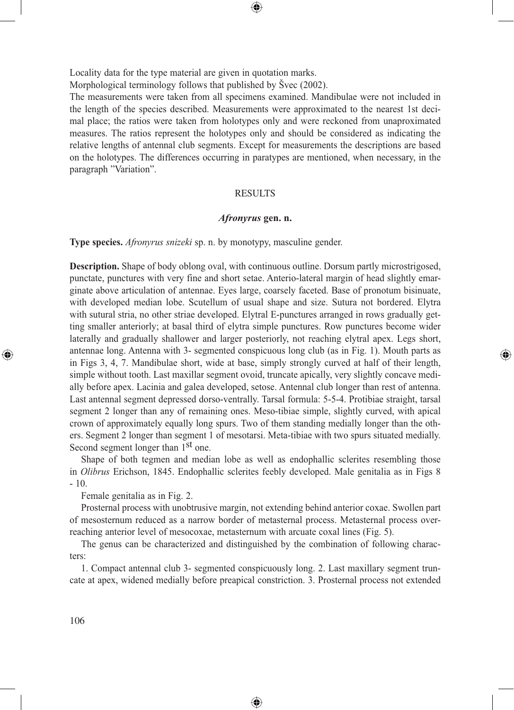Locality data for the type material are given in quotation marks.

Morphological terminology follows that published by Švec (2002).

The measurements were taken from all specimens examined. Mandibulae were not included in the length of the species described. Measurements were approximated to the nearest 1st decimal place; the ratios were taken from holotypes only and were reckoned from unaproximated measures. The ratios represent the holotypes only and should be considered as indicating the relative lengths of antennal club segments. Except for measurements the descriptions are based on the holotypes. The differences occurring in paratypes are mentioned, when necessary, in the paragraph "Variation".

◈

#### RESULTS

### *Afronyrus* **gen. n.**

**Type species.** *Afronyrus snizeki* sp. n. by monotypy, masculine gender.

**Description.** Shape of body oblong oval, with continuous outline. Dorsum partly microstrigosed, punctate, punctures with very fine and short setae. Anterio-lateral margin of head slightly emarginate above articulation of antennae. Eyes large, coarsely faceted. Base of pronotum bisinuate, with developed median lobe. Scutellum of usual shape and size. Sutura not bordered. Elytra with sutural stria, no other striae developed. Elytral E-punctures arranged in rows gradually getting smaller anteriorly; at basal third of elytra simple punctures. Row punctures become wider laterally and gradually shallower and larger posteriorly, not reaching elytral apex. Legs short, antennae long. Antenna with 3- segmented conspicuous long club (as in Fig. 1). Mouth parts as in Figs 3, 4, 7. Mandibulae short, wide at base, simply strongly curved at half of their length, simple without tooth. Last maxillar segment ovoid, truncate apically, very slightly concave medially before apex. Lacinia and galea developed, setose. Antennal club longer than rest of antenna. Last antennal segment depressed dorso-ventrally. Tarsal formula: 5-5-4. Protibiae straight, tarsal segment 2 longer than any of remaining ones. Meso-tibiae simple, slightly curved, with apical crown of approximately equally long spurs. Two of them standing medially longer than the others. Segment 2 longer than segment 1 of mesotarsi. Meta-tibiae with two spurs situated medially. Second segment longer than 1<sup>st</sup> one.

⊕

Shape of both tegmen and median lobe as well as endophallic sclerites resembling those in *Olibrus* Erichson, 1845. Endophallic sclerites feebly developed. Male genitalia as in Figs 8 - 10.

Female genitalia as in Fig. 2.

Prosternal process with unobtrusive margin, not extending behind anterior coxae. Swollen part of mesosternum reduced as a narrow border of metasternal process. Metasternal process overreaching anterior level of mesocoxae, metasternum with arcuate coxal lines (Fig. 5).

The genus can be characterized and distinguished by the combination of following characters:

1. Compact antennal club 3- segmented conspicuously long. 2. Last maxillary segment truncate at apex, widened medially before preapical constriction. 3. Prosternal process not extended

◈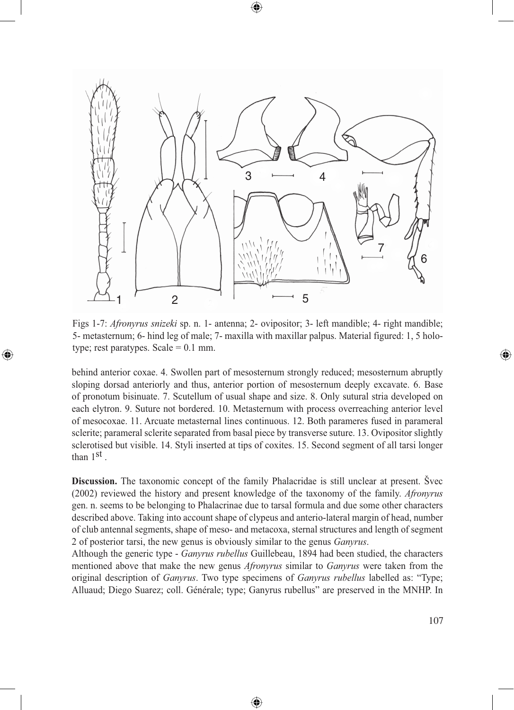

Figs 1-7: *Afronyrus snizeki* sp. n. 1- antenna; 2- ovipositor; 3- left mandible; 4- right mandible; 5- metasternum; 6- hind leg of male; 7- maxilla with maxillar palpus. Material figured: 1, 5 holotype; rest paratypes. Scale  $= 0.1$  mm.

⊕

behind anterior coxae. 4. Swollen part of mesosternum strongly reduced; mesosternum abruptly sloping dorsad anteriorly and thus, anterior portion of mesosternum deeply excavate. 6. Base of pronotum bisinuate. 7. Scutellum of usual shape and size. 8. Only sutural stria developed on each elytron. 9. Suture not bordered. 10. Metasternum with process overreaching anterior level of mesocoxae. 11. Arcuate metasternal lines continuous. 12. Both parameres fused in parameral sclerite; parameral sclerite separated from basal piece by transverse suture. 13. Ovipositor slightly sclerotised but visible. 14. Styli inserted at tips of coxites. 15. Second segment of all tarsi longer than 1<sup>st</sup>.

**Discussion.** The taxonomic concept of the family Phalacridae is still unclear at present. Švec (2002) reviewed the history and present knowledge of the taxonomy of the family. *Afronyrus* gen. n. seems to be belonging to Phalacrinae due to tarsal formula and due some other characters described above. Taking into account shape of clypeus and anterio-lateral margin of head, number of club antennal segments, shape of meso- and metacoxa, sternal structures and length of segment 2 of posterior tarsi, the new genus is obviously similar to the genus *Ganyrus*.

Although the generic type - *Ganyrus rubellus* Guillebeau, 1894 had been studied, the characters mentioned above that make the new genus *Afronyrus* similar to *Ganyrus* were taken from the original description of *Ganyrus*. Two type specimens of *Ganyrus rubellus* labelled as: "Type; Alluaud; Diego Suarez; coll. Générale; type; Ganyrus rubellus" are preserved in the MNHP. In

⊕

◈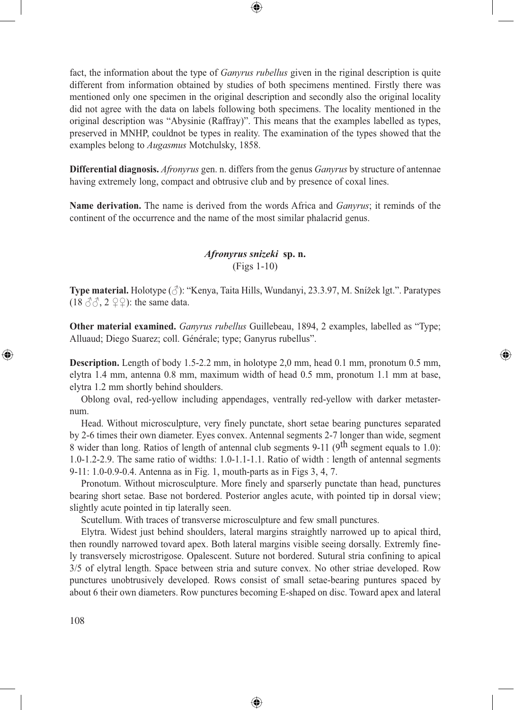fact, the information about the type of *Ganyrus rubellus* given in the riginal description is quite different from information obtained by studies of both specimens mentined. Firstly there was mentioned only one specimen in the original description and secondly also the original locality did not agree with the data on labels following both specimens. The locality mentioned in the original description was "Abysinie (Raffray)". This means that the examples labelled as types, preserved in MNHP, couldnot be types in reality. The examination of the types showed that the examples belong to *Augasmus* Motchulsky, 1858.

⊕

**Differential diagnosis.** *Afronyrus* gen. n. differs from the genus *Ganyrus* by structure of antennae having extremely long, compact and obtrusive club and by presence of coxal lines.

**Name derivation.** The name is derived from the words Africa and *Ganyrus*; it reminds of the continent of the occurrence and the name of the most similar phalacrid genus.

# *Afronyrus snizeki* **sp. n.** (Figs 1-10)

**Type material.** Holotype (♂): "Kenya, Taita Hills, Wundanyi, 23.3.97, M. Snížek lgt.". Paratypes (18  $\Im$  $\Im$ , 2  $\Im$  $\Im$ ): the same data.

**Other material examined.** *Ganyrus rubellus* Guillebeau, 1894, 2 examples, labelled as "Type; Alluaud; Diego Suarez; coll. Générale; type; Ganyrus rubellus".

⊕

**Description.** Length of body 1.5-2.2 mm, in holotype 2,0 mm, head 0.1 mm, pronotum 0.5 mm, elytra 1.4 mm, antenna 0.8 mm, maximum width of head 0.5 mm, pronotum 1.1 mm at base, elytra 1.2 mm shortly behind shoulders.

Oblong oval, red-yellow including appendages, ventrally red-yellow with darker metasternum.

Head. Without microsculpture, very finely punctate, short setae bearing punctures separated by 2-6 times their own diameter. Eyes convex. Antennal segments 2-7 longer than wide, segment 8 wider than long. Ratios of length of antennal club segments 9-11 (9<sup>th</sup> segment equals to 1.0): 1.0-1.2-2.9. The same ratio of widths: 1.0-1.1-1.1. Ratio of width : length of antennal segments 9-11: 1.0-0.9-0.4. Antenna as in Fig. 1, mouth-parts as in Figs 3, 4, 7.

Pronotum. Without microsculpture. More finely and sparserly punctate than head, punctures bearing short setae. Base not bordered. Posterior angles acute, with pointed tip in dorsal view; slightly acute pointed in tip laterally seen.

Scutellum. With traces of transverse microsculpture and few small punctures.

Elytra. Widest just behind shoulders, lateral margins straightly narrowed up to apical third, then roundly narrowed tovard apex. Both lateral margins visible seeing dorsally. Extremly finely transversely microstrigose. Opalescent. Suture not bordered. Sutural stria confining to apical 3/5 of elytral length. Space between stria and suture convex. No other striae developed. Row punctures unobtrusively developed. Rows consist of small setae-bearing puntures spaced by about 6 their own diameters. Row punctures becoming E-shaped on disc. Toward apex and lateral

◈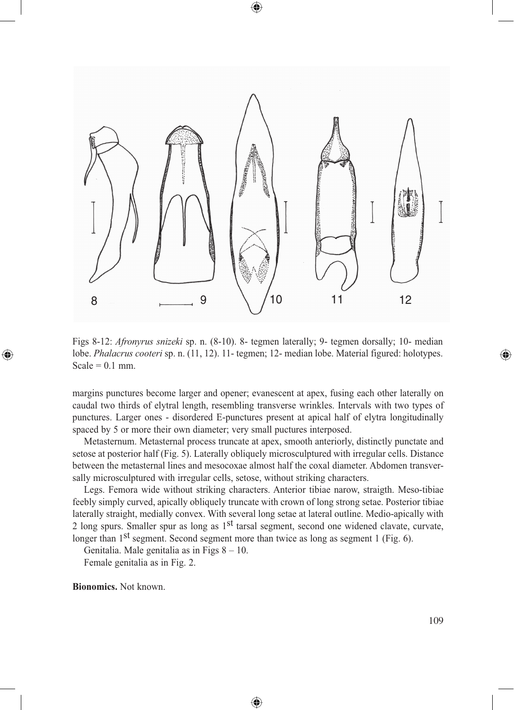

◈

Figs 8-12: *Afronyrus snizeki* sp. n. (8-10). 8- tegmen laterally; 9- tegmen dorsally; 10- median lobe. *Phalacrus cooteri* sp. n. (11, 12). 11- tegmen; 12- median lobe. Material figured: holotypes. Scale =  $0.1$  mm.

margins punctures become larger and opener; evanescent at apex, fusing each other laterally on caudal two thirds of elytral length, resembling transverse wrinkles. Intervals with two types of punctures. Larger ones - disordered E-punctures present at apical half of elytra longitudinally spaced by 5 or more their own diameter; very small puctures interposed.

Metasternum. Metasternal process truncate at apex, smooth anteriorly, distinctly punctate and setose at posterior half (Fig. 5). Laterally obliquely microsculptured with irregular cells. Distance between the metasternal lines and mesocoxae almost half the coxal diameter. Abdomen transversally microsculptured with irregular cells, setose, without striking characters.

Legs. Femora wide without striking characters. Anterior tibiae narow, straigth. Meso-tibiae feebly simply curved, apically obliquely truncate with crown of long strong setae. Posterior tibiae laterally straight, medially convex. With several long setae at lateral outline. Medio-apically with 2 long spurs. Smaller spur as long as 1<sup>st</sup> tarsal segment, second one widened clavate, curvate, longer than 1<sup>st</sup> segment. Second segment more than twice as long as segment 1 (Fig. 6).

♠

Genitalia. Male genitalia as in Figs 8 – 10. Female genitalia as in Fig. 2.

**Bionomics.** Not known.

⊕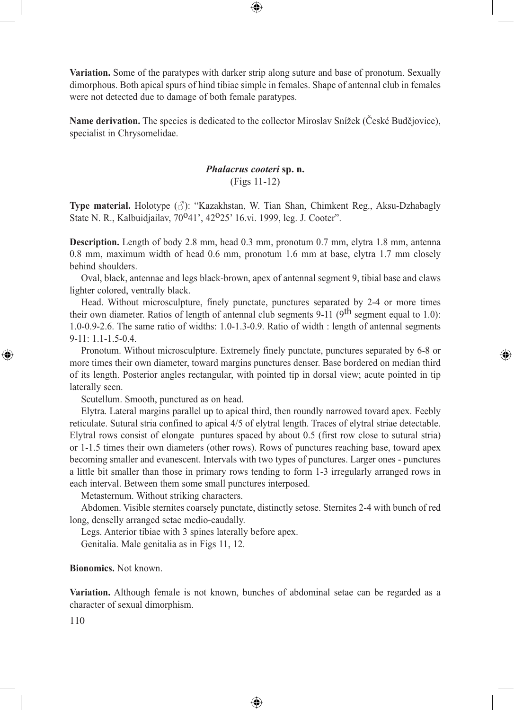**Variation.** Some of the paratypes with darker strip along suture and base of pronotum. Sexually dimorphous. Both apical spurs of hind tibiae simple in females. Shape of antennal club in females were not detected due to damage of both female paratypes.

⊕

**Name derivation.** The species is dedicated to the collector Miroslav Snížek (České Budějovice), specialist in Chrysomelidae.

### *Phalacrus cooteri* **sp. n.** (Figs 11-12)

**Type material.** Holotype  $(\vec{\delta})$ : "Kazakhstan, W. Tian Shan, Chimkent Reg., Aksu-Dzhabagly State N. R., Kalbuidjailav, 70°41', 42°25' 16.vi. 1999, leg. J. Cooter".

**Description.** Length of body 2.8 mm, head 0.3 mm, pronotum 0.7 mm, elytra 1.8 mm, antenna 0.8 mm, maximum width of head 0.6 mm, pronotum 1.6 mm at base, elytra 1.7 mm closely behind shoulders.

Oval, black, antennae and legs black-brown, apex of antennal segment 9, tibial base and claws lighter colored, ventrally black.

Head. Without microsculpture, finely punctate, punctures separated by 2-4 or more times their own diameter. Ratios of length of antennal club segments 9-11 (9<sup>th</sup> segment equal to 1.0): 1.0-0.9-2.6. The same ratio of widths: 1.0-1.3-0.9. Ratio of width : length of antennal segments 9-11: 1.1-1.5-0.4.

Pronotum. Without microsculpture. Extremely finely punctate, punctures separated by 6-8 or more times their own diameter, toward margins punctures denser. Base bordered on median third of its length. Posterior angles rectangular, with pointed tip in dorsal view; acute pointed in tip laterally seen.

⊕

Scutellum. Smooth, punctured as on head.

Elytra. Lateral margins parallel up to apical third, then roundly narrowed tovard apex. Feebly reticulate. Sutural stria confined to apical 4/5 of elytral length. Traces of elytral striae detectable. Elytral rows consist of elongate puntures spaced by about 0.5 (first row close to sutural stria) or 1-1.5 times their own diameters (other rows). Rows of punctures reaching base, toward apex becoming smaller and evanescent. Intervals with two types of punctures. Larger ones - punctures a little bit smaller than those in primary rows tending to form 1-3 irregularly arranged rows in each interval. Between them some small punctures interposed.

Metasternum. Without striking characters.

Abdomen. Visible sternites coarsely punctate, distinctly setose. Sternites 2-4 with bunch of red long, denselly arranged setae medio-caudally.

Legs. Anterior tibiae with 3 spines laterally before apex.

Genitalia. Male genitalia as in Figs 11, 12.

### **Bionomics.** Not known.

**Variation.** Although female is not known, bunches of abdominal setae can be regarded as a character of sexual dimorphism.

◈

110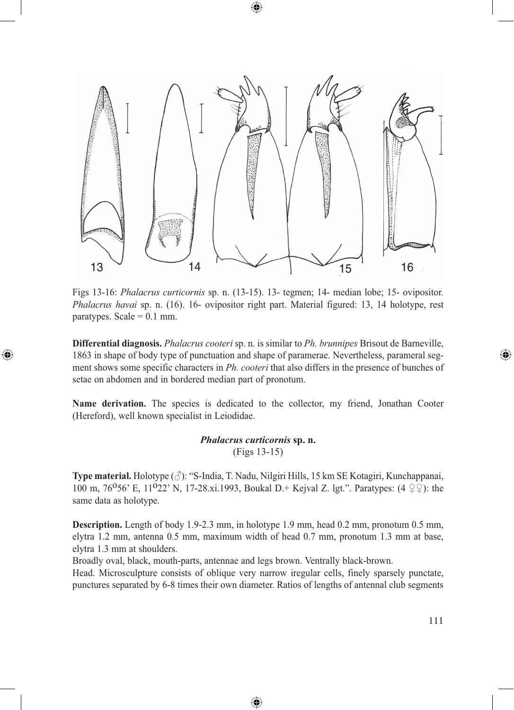

Figs 13-16: *Phalacrus curticornis* sp. n. (13-15). 13- tegmen; 14- median lobe; 15- ovipositor. *Phalacrus havai* sp. n. (16). 16- ovipositor right part. Material figured: 13, 14 holotype, rest paratypes. Scale  $= 0.1$  mm.

**Differential diagnosis.** *Phalacrus cooteri* sp. n. is similar to *Ph. brunnipes* Brisout de Barneville, 1863 in shape of body type of punctuation and shape of paramerae. Nevertheless, parameral segment shows some specific characters in *Ph. cooteri* that also differs in the presence of bunches of setae on abdomen and in bordered median part of pronotum.

⊕

Name derivation. The species is dedicated to the collector, my friend, Jonathan Cooter (Hereford), well known specialist in Leiodidae.

## *Phalacrus curticornis* **sp. n.** (Figs 13-15)

**Type material.** Holotype (♂): "S-India, T. Nadu, Nilgiri Hills, 15 km SE Kotagiri, Kunchappanai, 100 m, 76<sup>o</sup>56' E, 11<sup>o</sup>22' N, 17-28.xi.1993, Boukal D.+ Kejval Z. lgt.". Paratypes:  $(4 \nvert \nvert \nvert 2)$ : the same data as holotype.

**Description.** Length of body 1.9-2.3 mm, in holotype 1.9 mm, head 0.2 mm, pronotum 0.5 mm, elytra 1.2 mm, antenna 0.5 mm, maximum width of head 0.7 mm, pronotum 1.3 mm at base, elytra 1.3 mm at shoulders.

Broadly oval, black, mouth-parts, antennae and legs brown. Ventrally black-brown.

Head. Microsculpture consists of oblique very narrow iregular cells, finely sparsely punctate, punctures separated by 6-8 times their own diameter. Ratios of lengths of antennal club segments

⊕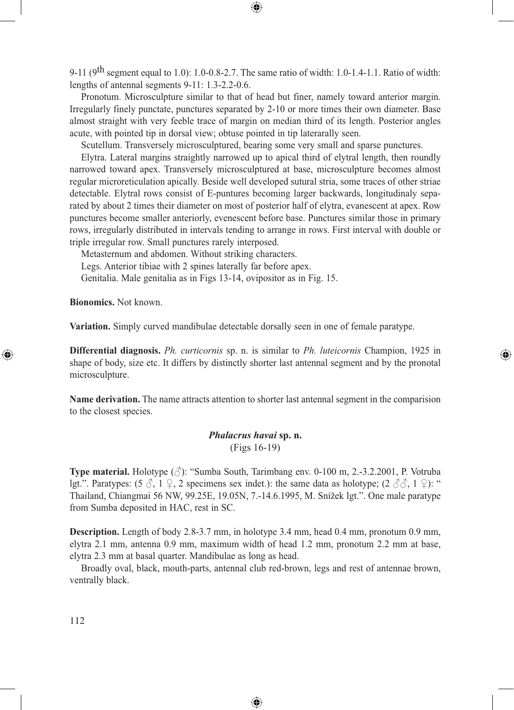9-11 (9th segment equal to 1.0): 1.0-0.8-2.7. The same ratio of width: 1.0-1.4-1.1. Ratio of width: lengths of antennal segments 9-11: 1.3-2.2-0.6.

⊕

Pronotum. Microsculpture similar to that of head but finer, namely toward anterior margin. Irregularly finely punctate, punctures separated by 2-10 or more times their own diameter. Base almost straight with very feeble trace of margin on median third of its length. Posterior angles acute, with pointed tip in dorsal view; obtuse pointed in tip laterarally seen.

Scutellum. Transversely microsculptured, bearing some very small and sparse punctures.

Elytra. Lateral margins straightly narrowed up to apical third of elytral length, then roundly narrowed toward apex. Transversely microsculptured at base, microsculpture becomes almost regular microreticulation apically. Beside well developed sutural stria, some traces of other striae detectable. Elytral rows consist of E-puntures becoming larger backwards, longitudinaly separated by about 2 times their diameter on most of posterior half of elytra, evanescent at apex. Row punctures become smaller anteriorly, evenescent before base. Punctures similar those in primary rows, irregularly distributed in intervals tending to arrange in rows. First interval with double or triple irregular row. Small punctures rarely interposed.

Metasternum and abdomen. Without striking characters.

Legs. Anterior tibiae with 2 spines laterally far before apex.

Genitalia. Male genitalia as in Figs 13-14, ovipositor as in Fig. 15.

**Bionomics.** Not known.

⊕

**Variation.** Simply curved mandibulae detectable dorsally seen in one of female paratype.

**Differential diagnosis.** *Ph. curticornis* sp. n. is similar to *Ph. luteicornis* Champion, 1925 in shape of body, size etc. It differs by distinctly shorter last antennal segment and by the pronotal microsculpture.

⊕

**Name derivation.** The name attracts attention to shorter last antennal segment in the comparision to the closest species.

# *Phalacrus havai* **sp. n.** (Figs 16-19)

**Type material.** Holotype (♂): "Sumba South, Tarimbang env. 0-100 m, 2.-3.2.2001, P. Votruba lgt.". Paratypes:  $(5 \text{ } \diamondsuit, 1 \text{ } \diamondsuit, 2 \text{ specimens sex indet.})$ : the same data as holotype;  $(2 \text{ } \diamondsuit \diamondsuit, 1 \text{ } \diamondsuit)$ : " Thailand, Chiangmai 56 NW, 99.25E, 19.05N, 7.-14.6.1995, M. Snížek lgt.". One male paratype from Sumba deposited in HAC, rest in SC.

**Description.** Length of body 2.8-3.7 mm, in holotype 3.4 mm, head 0.4 mm, pronotum 0.9 mm, elytra 2.1 mm, antenna 0.9 mm, maximum width of head 1.2 mm, pronotum 2.2 mm at base, elytra 2.3 mm at basal quarter. Mandibulae as long as head.

Broadly oval, black, mouth-parts, antennal club red-brown, legs and rest of antennae brown, ventrally black.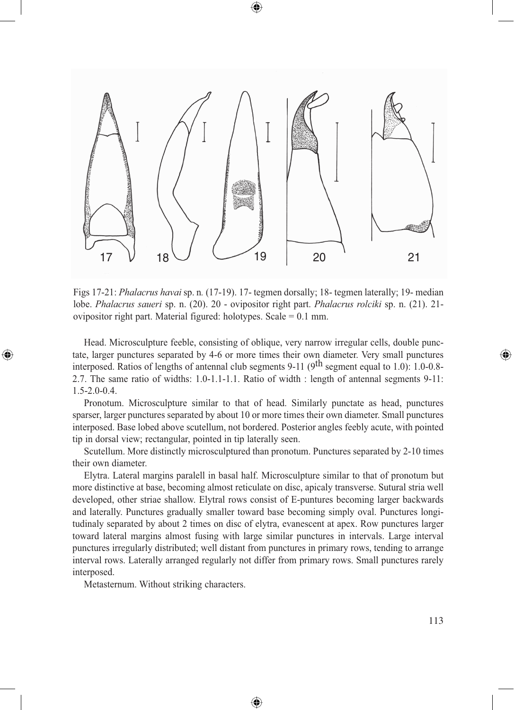

Figs 17-21: *Phalacrus havai* sp. n*.* (17-19). 17- tegmen dorsally; 18- tegmen laterally; 19- median lobe. *Phalacrus saueri* sp. n. (20). 20 - ovipositor right part. *Phalacrus rolciki* sp. n. (21). 21 ovipositor right part. Material figured: holotypes. Scale = 0.1 mm.

Head. Microsculpture feeble, consisting of oblique, very narrow irregular cells, double punctate, larger punctures separated by 4-6 or more times their own diameter. Very small punctures interposed. Ratios of lengths of antennal club segments 9-11 (9<sup>th</sup> segment equal to 1.0): 1.0-0.8-2.7. The same ratio of widths: 1.0-1.1-1.1. Ratio of width : length of antennal segments 9-11: 1.5-2.0-0.4.

Pronotum. Microsculpture similar to that of head. Similarly punctate as head, punctures sparser, larger punctures separated by about 10 or more times their own diameter. Small punctures interposed. Base lobed above scutellum, not bordered. Posterior angles feebly acute, with pointed tip in dorsal view; rectangular, pointed in tip laterally seen.

Scutellum. More distinctly microsculptured than pronotum. Punctures separated by 2-10 times their own diameter.

Elytra. Lateral margins paralell in basal half. Microsculpture similar to that of pronotum but more distinctive at base, becoming almost reticulate on disc, apicaly transverse. Sutural stria well developed, other striae shallow. Elytral rows consist of E-puntures becoming larger backwards and laterally. Punctures gradually smaller toward base becoming simply oval. Punctures longitudinaly separated by about 2 times on disc of elytra, evanescent at apex. Row punctures larger toward lateral margins almost fusing with large similar punctures in intervals. Large interval punctures irregularly distributed; well distant from punctures in primary rows, tending to arrange interval rows. Laterally arranged regularly not differ from primary rows. Small punctures rarely interposed.

◈

Metasternum. Without striking characters.

⊕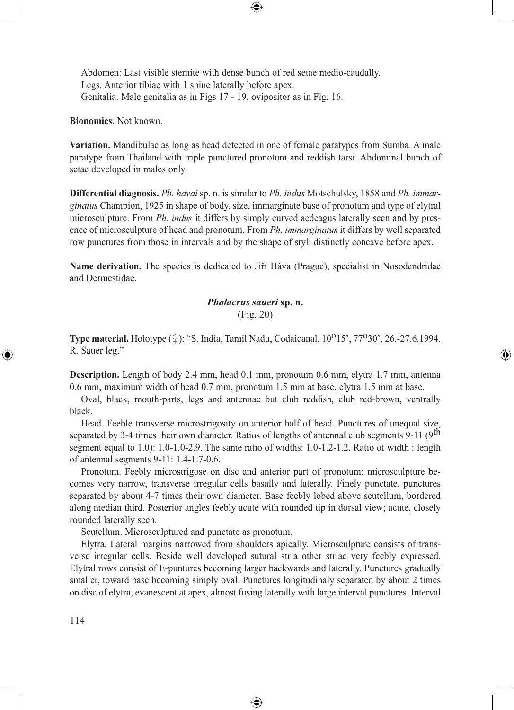Abdomen: Last visible sternite with dense bunch of red setae medio-caudally. Legs. Anterior tibiae with 1 spine laterally before apex. Genitalia. Male genitalia as in Figs 17 - 19, ovipositor as in Fig. 16.

**Bionomics.** Not known.

**Variation.** Mandibulae as long as head detected in one of female paratypes from Sumba. A male paratype from Thailand with triple punctured pronotum and reddish tarsi. Abdominal bunch of setae developed in males only.

⊕

**Differential diagnosis.** *Ph. havai* sp. n. is similar to *Ph. indus* Motschulsky, 1858 and *Ph. immarginatus* Champion, 1925 in shape of body, size, immarginate base of pronotum and type of elytral microsculpture. From *Ph. indus* it differs by simply curved aedeagus laterally seen and by presence of microsculpture of head and pronotum. From *Ph. immarginatus* it differs by well separated row punctures from those in intervals and by the shape of styli distinctly concave before apex.

**Name derivation.** The species is dedicated to Jiří Háva (Prague), specialist in Nosodendridae and Dermestidae.

# *Phalacrus saueri* **sp. n.** (Fig. 20)

**Type material.** Holotype (♀): "S. India, Tamil Nadu, Codaicanal, 10<sup>0</sup>15', 77<sup>0</sup>30', 26.-27.6.1994, R. Sauer leg."

⊕

**Description.** Length of body 2.4 mm, head 0.1 mm, pronotum 0.6 mm, elytra 1.7 mm, antenna 0.6 mm, maximum width of head 0.7 mm, pronotum 1.5 mm at base, elytra 1.5 mm at base.

Oval, black, mouth-parts, legs and antennae but club reddish, club red-brown, ventrally black.

Head. Feeble transverse microstrigosity on anterior half of head. Punctures of unequal size, separated by 3-4 times their own diameter. Ratios of lengths of antennal club segments 9-11 (9<sup>th</sup>) segment equal to 1.0): 1.0-1.0-2.9. The same ratio of widths: 1.0-1.2-1.2. Ratio of width : length of antennal segments 9-11: 1.4-1.7-0.6.

Pronotum. Feebly microstrigose on disc and anterior part of pronotum; microsculpture becomes very narrow, transverse irregular cells basally and laterally. Finely punctate, punctures separated by about 4-7 times their own diameter. Base feebly lobed above scutellum, bordered along median third. Posterior angles feebly acute with rounded tip in dorsal view; acute, closely rounded laterally seen.

Scutellum. Microsculptured and punctate as pronotum.

Elytra. Lateral margins narrowed from shoulders apically. Microsculpture consists of transverse irregular cells. Beside well developed sutural stria other striae very feebly expressed. Elytral rows consist of E-puntures becoming larger backwards and laterally. Punctures gradually smaller, toward base becoming simply oval. Punctures longitudinaly separated by about 2 times on disc of elytra, evanescent at apex, almost fusing laterally with large interval punctures. Interval

⊕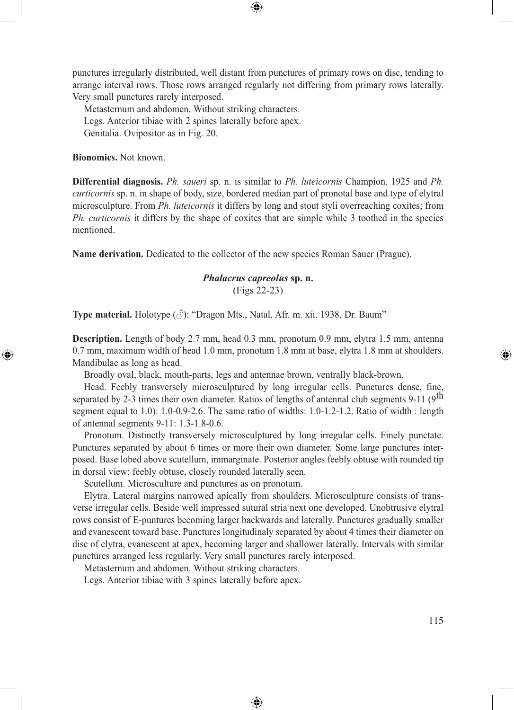punctures irregularly distributed, well distant from punctures of primary rows on disc, tending to arrange interval rows. Those rows arranged regularly not differing from primary rows laterally. Very small punctures rarely interposed.

⊕

Metasternum and abdomen. Without striking characters. Legs. Anterior tibiae with 2 spines laterally before apex. Genitalia. Ovipositor as in Fig. 20.

**Bionomics.** Not known.

⊕

**Differential diagnosis.** *Ph. saueri* sp. n. is similar to *Ph. luteicornis* Champion, 1925 and *Ph. curticornis* sp. n. in shape of body, size, bordered median part of pronotal base and type of elytral microsculpture. From *Ph. luteicornis* it differs by long and stout styli overreaching coxites; from *Ph. curticornis* it differs by the shape of coxites that are simple while 3 toothed in the species mentioned.

**Name derivation.** Dedicated to the collector of the new species Roman Sauer (Prague).

# *Phalacrus capreolus* **sp. n.** (Figs 22-23)

**Type material.** Holotype  $(\Diamond)$ : "Dragon Mts., Natal, Afr. m. xii. 1938, Dr. Baum"

**Description.** Length of body 2.7 mm, head 0.3 mm, pronotum 0.9 mm, elytra 1.5 mm, antenna 0.7 mm, maximum width of head 1.0 mm, pronotum 1.8 mm at base, elytra 1.8 mm at shoulders. Mandibulae as long as head.

Broadly oval, black, mouth-parts, legs and antennae brown, ventrally black-brown.

Head. Feebly transversely microsculptured by long irregular cells. Punctures dense, fine, separated by 2-3 times their own diameter. Ratios of lengths of antennal club segments 9-11 (9<sup>th</sup>) segment equal to 1.0): 1.0-0.9-2.6. The same ratio of widths: 1.0-1.2-1.2. Ratio of width : length of antennal segments 9-11: 1.3-1.8-0.6.

Pronotum. Distinctly transversely microsculptured by long irregular cells. Finely punctate. Punctures separated by about 6 times or more their own diameter. Some large punctures interposed. Base lobed above scutellum, immarginate. Posterior angles feebly obtuse with rounded tip in dorsal view; feebly obtuse, closely rounded laterally seen.

Scutellum. Microsculture and punctures as on pronotum.

Elytra. Lateral margins narrowed apically from shoulders. Microsculpture consists of transverse irregular cells. Beside well impressed sutural stria next one developed. Unobtrusive elytral rows consist of E-puntures becoming larger backwards and laterally. Punctures gradually smaller and evanescent toward base. Punctures longitudinaly separated by about 4 times their diameter on disc of elytra, evanescent at apex, becoming larger and shallower laterally. Intervals with similar punctures arranged less regularly. Very small punctures rarely interposed.

◈

Metasternum and abdomen. Without striking characters.

Legs. Anterior tibiae with 3 spines laterally before apex.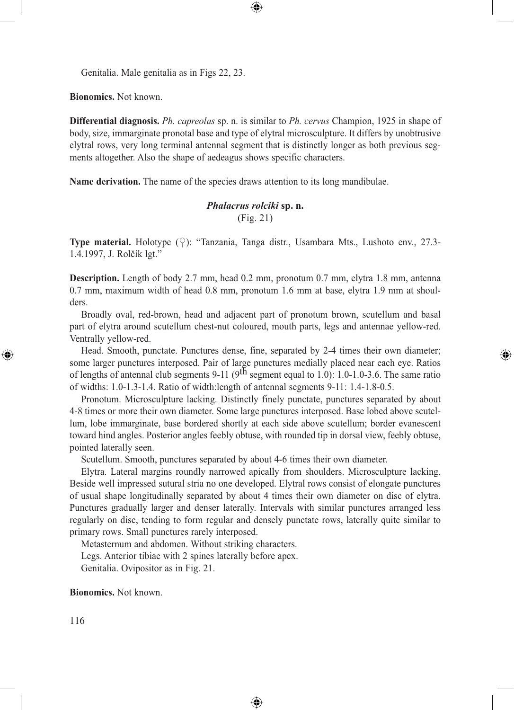Genitalia. Male genitalia as in Figs 22, 23.

**Bionomics.** Not known.

**Differential diagnosis.** *Ph. capreolus* sp. n. is similar to *Ph. cervus* Champion, 1925 in shape of body, size, immarginate pronotal base and type of elytral microsculpture. It differs by unobtrusive elytral rows, very long terminal antennal segment that is distinctly longer as both previous segments altogether. Also the shape of aedeagus shows specific characters.

⊕

**Name derivation.** The name of the species draws attention to its long mandibulae.

### *Phalacrus rolciki* **sp. n.** (Fig. 21)

**Type material.** Holotype  $(\varphi)$ : "Tanzania, Tanga distr., Usambara Mts., Lushoto env., 27.3-1.4.1997, J. Rolčík lgt."

**Description.** Length of body 2.7 mm, head 0.2 mm, pronotum 0.7 mm, elytra 1.8 mm, antenna 0.7 mm, maximum width of head 0.8 mm, pronotum 1.6 mm at base, elytra 1.9 mm at shoulders.

Broadly oval, red-brown, head and adjacent part of pronotum brown, scutellum and basal part of elytra around scutellum chest-nut coloured, mouth parts, legs and antennae yellow-red. Ventrally yellow-red.

Head. Smooth, punctate. Punctures dense, fine, separated by 2-4 times their own diameter; some larger punctures interposed. Pair of large punctures medially placed near each eye. Ratios of lengths of antennal club segments 9-11 (9th segment equal to 1.0): 1.0-1.0-3.6. The same ratio of widths: 1.0-1.3-1.4. Ratio of width:length of antennal segments 9-11: 1.4-1.8-0.5.

⊕

Pronotum. Microsculpture lacking. Distinctly finely punctate, punctures separated by about 4-8 times or more their own diameter. Some large punctures interposed. Base lobed above scutellum, lobe immarginate, base bordered shortly at each side above scutellum; border evanescent toward hind angles. Posterior angles feebly obtuse, with rounded tip in dorsal view, feebly obtuse, pointed laterally seen.

Scutellum. Smooth, punctures separated by about 4-6 times their own diameter.

Elytra. Lateral margins roundly narrowed apically from shoulders. Microsculpture lacking. Beside well impressed sutural stria no one developed. Elytral rows consist of elongate punctures of usual shape longitudinally separated by about 4 times their own diameter on disc of elytra. Punctures gradually larger and denser laterally. Intervals with similar punctures arranged less regularly on disc, tending to form regular and densely punctate rows, laterally quite similar to primary rows. Small punctures rarely interposed.

⊕

Metasternum and abdomen. Without striking characters. Legs. Anterior tibiae with 2 spines laterally before apex. Genitalia. Ovipositor as in Fig. 21.

**Bionomics.** Not known.

116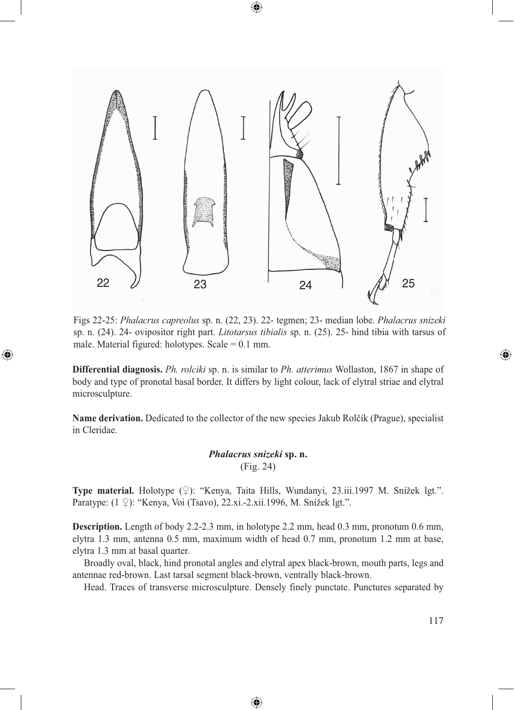

Figs 22-25: *Phalacrus capreolus* sp. n*.* (22, 23). 22- tegmen; 23- median lobe. *Phalacrus snizeki*  sp. n. (24). 24- ovipositor right part. *Litotarsus tibialis* sp. n. (25). 25- hind tibia with tarsus of male. Material figured: holotypes. Scale  $= 0.1$  mm.

⊕

**Differential diagnosis.** *Ph. rolciki* sp. n. is similar to *Ph. atterimus* Wollaston, 1867 in shape of body and type of pronotal basal border. It differs by light colour, lack of elytral striae and elytral microsculpture.

**Name derivation.** Dedicated to the collector of the new species Jakub Rolčík (Prague), specialist in Cleridae.

## *Phalacrus snizeki* **sp. n.** (Fig. 24)

**Type material.** Holotype (♀): "Kenya, Taita Hills, Wundanyi, 23.iii.1997 M. Snížek lgt.". Paratype: (1 ♀): "Kenya, Voi (Tsavo), 22.xi.-2.xii.1996, M. Snížek lgt.".

**Description.** Length of body 2.2-2.3 mm, in holotype 2.2 mm, head 0.3 mm, pronotum 0.6 mm, elytra 1.3 mm, antenna 0.5 mm, maximum width of head 0.7 mm, pronotum 1.2 mm at base, elytra 1.3 mm at basal quarter.

Broadly oval, black, hind pronotal angles and elytral apex black-brown, mouth parts, legs and antennae red-brown. Last tarsal segment black-brown, ventrally black-brown.

⊕

Head. Traces of transverse microsculpture. Densely finely punctate. Punctures separated by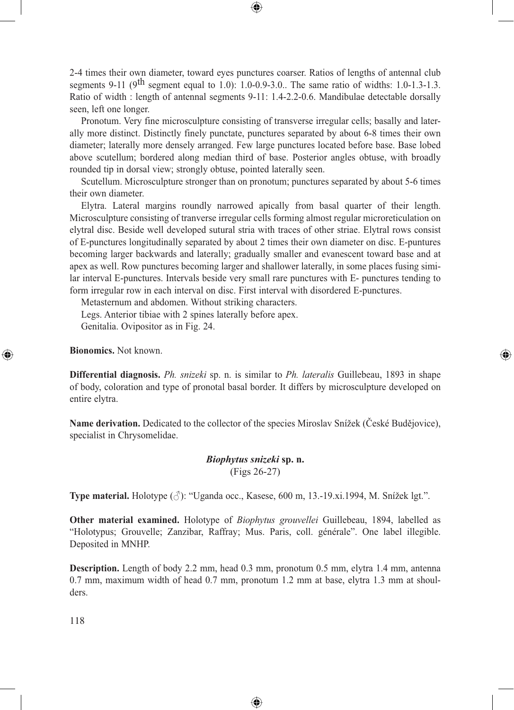2-4 times their own diameter, toward eyes punctures coarser. Ratios of lengths of antennal club segments 9-11 ( $9<sup>th</sup>$  segment equal to 1.0): 1.0-0.9-3.0.. The same ratio of widths: 1.0-1.3-1.3. Ratio of width : length of antennal segments 9-11: 1.4-2.2-0.6. Mandibulae detectable dorsally seen, left one longer.

⊕

Pronotum. Very fine microsculpture consisting of transverse irregular cells; basally and laterally more distinct. Distinctly finely punctate, punctures separated by about 6-8 times their own diameter; laterally more densely arranged. Few large punctures located before base. Base lobed above scutellum; bordered along median third of base. Posterior angles obtuse, with broadly rounded tip in dorsal view; strongly obtuse, pointed laterally seen.

Scutellum. Microsculpture stronger than on pronotum; punctures separated by about 5-6 times their own diameter.

Elytra. Lateral margins roundly narrowed apically from basal quarter of their length. Microsculpture consisting of tranverse irregular cells forming almost regular microreticulation on elytral disc. Beside well developed sutural stria with traces of other striae. Elytral rows consist of E-punctures longitudinally separated by about 2 times their own diameter on disc. E-puntures becoming larger backwards and laterally; gradually smaller and evanescent toward base and at apex as well. Row punctures becoming larger and shallower laterally, in some places fusing similar interval E-punctures. Intervals beside very small rare punctures with E- punctures tending to form irregular row in each interval on disc. First interval with disordered E-punctures.

Metasternum and abdomen. Without striking characters.

Legs. Anterior tibiae with 2 spines laterally before apex. Genitalia. Ovipositor as in Fig. 24.

**Bionomics.** Not known.

⊕

**Differential diagnosis.** *Ph. snizeki* sp. n. is similar to *Ph. lateralis* Guillebeau, 1893 in shape of body, coloration and type of pronotal basal border. It differs by microsculpture developed on entire elytra.

⊕

**Name derivation.** Dedicated to the collector of the species Miroslav Snížek (České Budějovice), specialist in Chrysomelidae.

# *Biophytus snizeki* **sp. n.** (Figs 26-27)

**Type material.** Holotype (♂): "Uganda occ., Kasese, 600 m, 13.-19.xi.1994, M. Snížek lgt.".

**Other material examined.** Holotype of *Biophytus grouvellei* Guillebeau, 1894, labelled as "Holotypus; Grouvelle; Zanzibar, Raffray; Mus. Paris, coll. générale". One label illegible. Deposited in MNHP.

**Description.** Length of body 2.2 mm, head 0.3 mm, pronotum 0.5 mm, elytra 1.4 mm, antenna 0.7 mm, maximum width of head 0.7 mm, pronotum 1.2 mm at base, elytra 1.3 mm at shoulders.

◈

118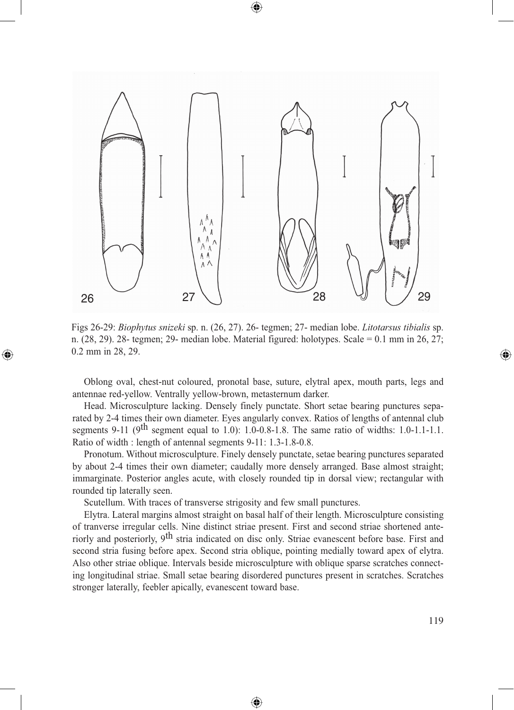

 $\bigcirc$ 

Figs 26-29: *Biophytus snizeki* sp. n. (26, 27). 26- tegmen; 27- median lobe. *Litotarsus tibialis* sp. n. (28, 29). 28- tegmen; 29- median lobe. Material figured: holotypes. Scale = 0.1 mm in 26, 27; 0.2 mm in 28, 29.

Oblong oval, chest-nut coloured, pronotal base, suture, elytral apex, mouth parts, legs and antennae red-yellow. Ventrally yellow-brown, metasternum darker.

Head. Microsculpture lacking. Densely finely punctate. Short setae bearing punctures separated by 2-4 times their own diameter. Eyes angularly convex. Ratios of lengths of antennal club segments 9-11 ( $9<sup>th</sup>$  segment equal to 1.0): 1.0-0.8-1.8. The same ratio of widths: 1.0-1.1-1.1. Ratio of width : length of antennal segments 9-11: 1.3-1.8-0.8.

Pronotum. Without microsculpture. Finely densely punctate, setae bearing punctures separated by about 2-4 times their own diameter; caudally more densely arranged. Base almost straight; immarginate. Posterior angles acute, with closely rounded tip in dorsal view; rectangular with rounded tip laterally seen.

Scutellum. With traces of transverse strigosity and few small punctures.

⊕

Elytra. Lateral margins almost straight on basal half of their length. Microsculpture consisting of tranverse irregular cells. Nine distinct striae present. First and second striae shortened anteriorly and posteriorly, 9<sup>th</sup> stria indicated on disc only. Striae evanescent before base. First and second stria fusing before apex. Second stria oblique, pointing medially toward apex of elytra. Also other striae oblique. Intervals beside microsculpture with oblique sparse scratches connecting longitudinal striae. Small setae bearing disordered punctures present in scratches. Scratches stronger laterally, feebler apically, evanescent toward base.

◈

◈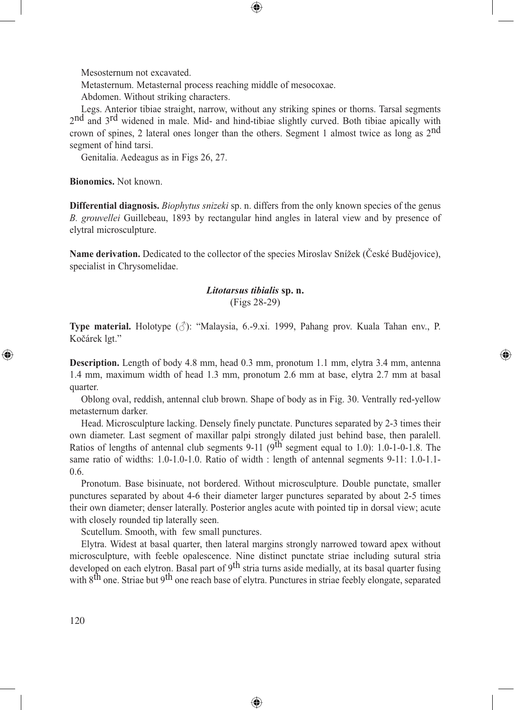Mesosternum not excavated.

Metasternum. Metasternal process reaching middle of mesocoxae.

Abdomen. Without striking characters.

Legs. Anterior tibiae straight, narrow, without any striking spines or thorns. Tarsal segments 2<sup>nd</sup> and 3<sup>rd</sup> widened in male. Mid- and hind-tibiae slightly curved. Both tibiae apically with crown of spines, 2 lateral ones longer than the others. Segment 1 almost twice as long as 2nd segment of hind tarsi.

⊕

Genitalia. Aedeagus as in Figs 26, 27.

**Bionomics.** Not known.

**Differential diagnosis.** *Biophytus snizeki* sp. n. differs from the only known species of the genus *B. grouvellei* Guillebeau, 1893 by rectangular hind angles in lateral view and by presence of elytral microsculpture.

**Name derivation.** Dedicated to the collector of the species Miroslav Snížek (České Budějovice), specialist in Chrysomelidae.

### *Litotarsus tibialis* **sp. n.** (Figs 28-29)

**Type material.** Holotype (♂): "Malaysia, 6.-9.xi. 1999, Pahang prov. Kuala Tahan env., P. Kočárek lgt."

⊕

**Description.** Length of body 4.8 mm, head 0.3 mm, pronotum 1.1 mm, elytra 3.4 mm, antenna 1.4 mm, maximum width of head 1.3 mm, pronotum 2.6 mm at base, elytra 2.7 mm at basal quarter.

Oblong oval, reddish, antennal club brown. Shape of body as in Fig. 30. Ventrally red-yellow metasternum darker.

Head. Microsculpture lacking. Densely finely punctate. Punctures separated by 2-3 times their own diameter. Last segment of maxillar palpi strongly dilated just behind base, then paralell. Ratios of lengths of antennal club segments 9-11 (9<sup>th</sup> segment equal to 1.0): 1.0-1-0-1.8. The same ratio of widths: 1.0-1.0-1.0. Ratio of width : length of antennal segments 9-11: 1.0-1.1- 0.6.

Pronotum. Base bisinuate, not bordered. Without microsculpture. Double punctate, smaller punctures separated by about 4-6 their diameter larger punctures separated by about 2-5 times their own diameter; denser laterally. Posterior angles acute with pointed tip in dorsal view; acute with closely rounded tip laterally seen.

Scutellum. Smooth, with few small punctures.

Elytra. Widest at basal quarter, then lateral margins strongly narrowed toward apex without microsculpture, with feeble opalescence. Nine distinct punctate striae including sutural stria developed on each elytron. Basal part of 9<sup>th</sup> stria turns aside medially, at its basal quarter fusing with 8<sup>th</sup> one. Striae but 9<sup>th</sup> one reach base of elytra. Punctures in striae feebly elongate, separated

◈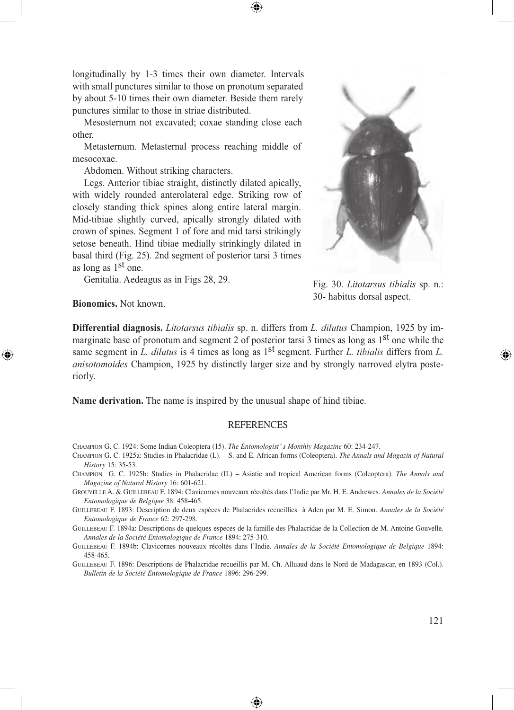longitudinally by 1-3 times their own diameter. Intervals with small punctures similar to those on pronotum separated by about 5-10 times their own diameter. Beside them rarely punctures similar to those in striae distributed.

Mesosternum not excavated; coxae standing close each other.

Metasternum. Metasternal process reaching middle of mesocoxae.

Abdomen. Without striking characters.

Legs. Anterior tibiae straight, distinctly dilated apically, with widely rounded anterolateral edge. Striking row of closely standing thick spines along entire lateral margin. Mid-tibiae slightly curved, apically strongly dilated with crown of spines. Segment 1 of fore and mid tarsi strikingly setose beneath. Hind tibiae medially strinkingly dilated in basal third (Fig. 25). 2nd segment of posterior tarsi 3 times as long as 1st one.

Genitalia. Aedeagus as in Figs 28, 29.



Fig. 30. *Litotarsus tibialis* sp. n.: 30- habitus dorsal aspect.

### **Bionomics.** Not known.

⊕

**Differential diagnosis.** *Litotarsus tibialis* sp. n. differs from *L. dilutus* Champion, 1925 by immarginate base of pronotum and segment 2 of posterior tarsi 3 times as long as  $1<sup>st</sup>$  one while the same segment in *L. dilutus* is 4 times as long as 1<sup>st</sup> segment. Further *L. tibialis* differs from *L. anisotomoides* Champion, 1925 by distinctly larger size and by strongly narroved elytra posteriorly.

**Name derivation.** The name is inspired by the unusual shape of hind tibiae.

#### REFERENCES

CHAMPION G. C. 1924: Some Indian Coleoptera (15). *The Entomologist´s Monthly Magazine* 60: 234-247.

- CHAMPION G. C. 1925a: Studies in Phalacridae (I.). S. and E. African forms (Coleoptera). *The Annals and Magazin of Natural History* 15: 35-53.
- CHAMPION G. C. 1925b: Studies in Phalacridae (II.) Asiatic and tropical American forms (Coleoptera). *The Annals and Magazine of Natural History* 16: 601-621.
- GROUVELLE A. & GUILLEBEAU F. 1894: Clavicornes nouveaux récoltés dans l'Indie par Mr. H. E. Andrewes. *Annales de la Société Entomologique de Belgique* 38: 458-465.
- GUILLEBEAU F. 1893: Description de deux espèces de Phalacrides recueillies à Aden par M. E. Simon. *Annales de la Société Entomologique de France* 62: 297-298.

GUILLEBEAU F. 1894a: Descriptions de quelques especes de la famille des Phalacridae de la Collection de M. Antoine Gouvelle. *Annales de la Société Entomologique de France* 1894: 275-310.

GUILLEBEAU F. 1894b: Clavicornes nouveaux récoltés dans l'Indie. *Annales de la Société Entomologique de Belgique* 1894: 458-465.

GUILLEBEAU F. 1896: Descriptions de Phalacridae recueillis par M. Ch. Alluaud dans le Nord de Madagascar, en 1893 (Col.). *Bulletin de la Société Entomologique de France* 1896: 296-299.